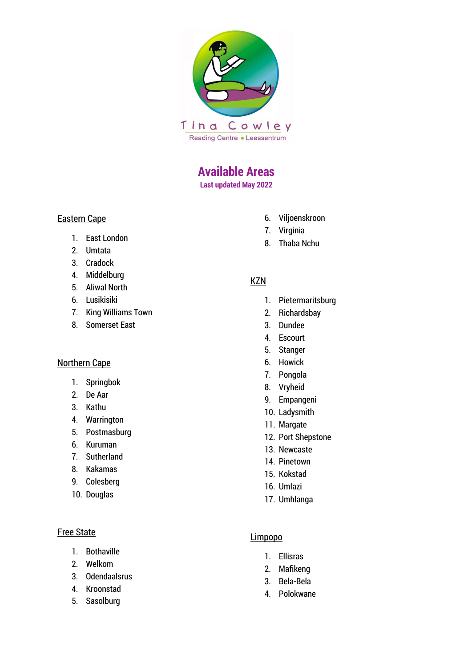

# **Available Areas**

**Last updated May 2022**

# Eastern Cape

- 1. East London
- 2. Umtata
- 3. Cradock
- 4. Middelburg
- 5. Aliwal North
- 6. Lusikisiki
- 7. King Williams Town
- 8. Somerset East

#### Northern Cape

- 1. Springbok
- 2. De Aar
- 3. Kathu
- 4. Warrington
- 5. Postmasburg
- 6. Kuruman
- 7. Sutherland
- 8. Kakamas
- 9. Colesberg
- 10. Douglas

# Free State

- 1. Bothaville
- 2. Welkom
- 3. Odendaalsrus
- 4. Kroonstad
- 5. Sasolburg
- 6. Viljoenskroon
- 7. Virginia
- 8. Thaba Nchu

# **KZN**

- 1. Pietermaritsburg
- 2. Richardsbay
- 3. Dundee
- 4. Escourt
- 5. Stanger
- 6. Howick
- 7. Pongola
- 8. Vryheid
- 9. Empangeni
- 10. Ladysmith
- 11. Margate
- 12. Port Shepstone
- 13. Newcaste
- 14. Pinetown
- 15. Kokstad
- 16. Umlazi
- 17. Umhlanga

# Limpopo

- 1. Ellisras
- 2. Mafikeng
- 3. Bela-Bela
- 4. Polokwane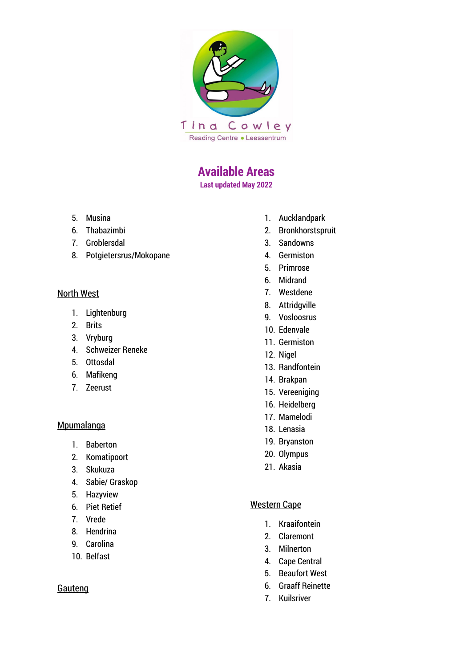

# **Available Areas**

**Last updated May 2022**

- 5. Musina
- 6. Thabazimbi
- 7. Groblersdal
- 8. Potgietersrus/Mokopane

#### North West

- 1. Lightenburg
- 2. Brits
- 3. Vryburg
- 4. Schweizer Reneke
- 5. Ottosdal
- 6. Mafikeng
- 7. Zeerust

#### **Mpumalanga**

- 1. Baberton
- 2. Komatipoort
- 3. Skukuza
- 4. Sabie/ Graskop
- 5. Hazyview
- 6. Piet Retief
- 7. Vrede
- 8. Hendrina
- 9. Carolina
- 10. Belfast

# Gauteng

- 1. Aucklandpark
- 2. Bronkhorstspruit
- 3. Sandowns
- 4. Germiston
- 5. Primrose
- 6. Midrand
- 7. Westdene
- 8. Attridgville
- 9. Vosloosrus
- 10. Edenvale
- 11. Germiston
- 12. Nigel
- 13. Randfontein
- 14. Brakpan
- 15. Vereeniging
- 16. Heidelberg
- 17. Mamelodi
- 18. Lenasia
- 19. Bryanston
- 20. Olympus
- 21. Akasia

# Western Cape

- 1. Kraaifontein
- 2. Claremont
- 3. Milnerton
- 4. Cape Central
- 5. Beaufort West
- 6. Graaff Reinette
- 7. Kuilsriver